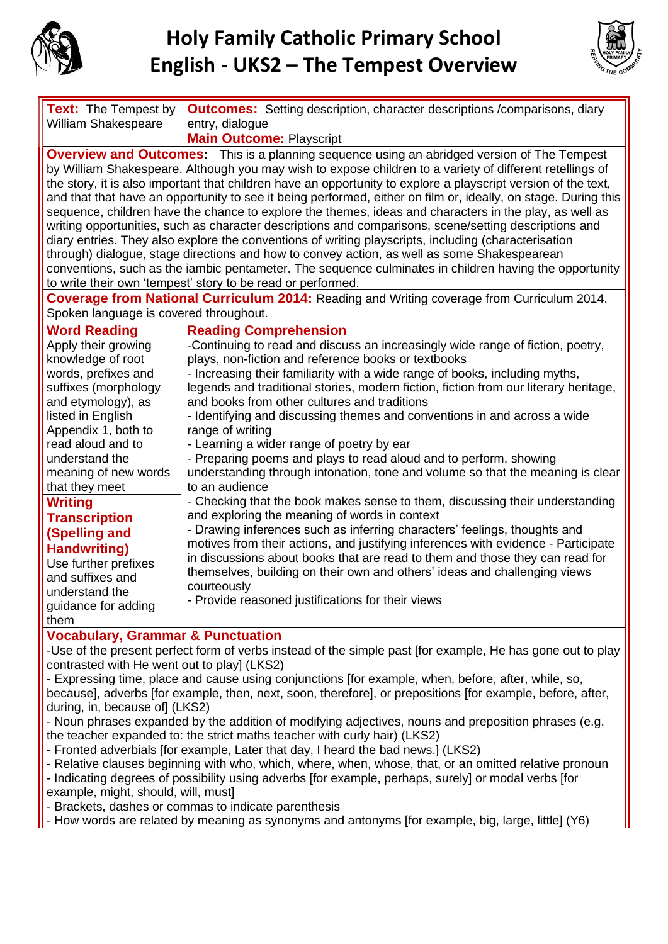



| <b>Text:</b> The Tempest by<br><b>William Shakespeare</b>                                                                                                                                                                                                                                                                                                                                                                                                                                                                                                                                                                                                                                                                                                                                                                                                                                                                                                                                                                                             | <b>Outcomes:</b> Setting description, character descriptions /comparisons, diary<br>entry, dialogue |
|-------------------------------------------------------------------------------------------------------------------------------------------------------------------------------------------------------------------------------------------------------------------------------------------------------------------------------------------------------------------------------------------------------------------------------------------------------------------------------------------------------------------------------------------------------------------------------------------------------------------------------------------------------------------------------------------------------------------------------------------------------------------------------------------------------------------------------------------------------------------------------------------------------------------------------------------------------------------------------------------------------------------------------------------------------|-----------------------------------------------------------------------------------------------------|
|                                                                                                                                                                                                                                                                                                                                                                                                                                                                                                                                                                                                                                                                                                                                                                                                                                                                                                                                                                                                                                                       | <b>Main Outcome: Playscript</b>                                                                     |
| <b>Overview and Outcomes:</b> This is a planning sequence using an abridged version of The Tempest<br>by William Shakespeare. Although you may wish to expose children to a variety of different retellings of<br>the story, it is also important that children have an opportunity to explore a playscript version of the text,<br>and that that have an opportunity to see it being performed, either on film or, ideally, on stage. During this<br>sequence, children have the chance to explore the themes, ideas and characters in the play, as well as<br>writing opportunities, such as character descriptions and comparisons, scene/setting descriptions and<br>diary entries. They also explore the conventions of writing playscripts, including (characterisation<br>through) dialogue, stage directions and how to convey action, as well as some Shakespearean<br>conventions, such as the iambic pentameter. The sequence culminates in children having the opportunity<br>to write their own 'tempest' story to be read or performed. |                                                                                                     |
| Coverage from National Curriculum 2014: Reading and Writing coverage from Curriculum 2014.                                                                                                                                                                                                                                                                                                                                                                                                                                                                                                                                                                                                                                                                                                                                                                                                                                                                                                                                                            |                                                                                                     |
| Spoken language is covered throughout.                                                                                                                                                                                                                                                                                                                                                                                                                                                                                                                                                                                                                                                                                                                                                                                                                                                                                                                                                                                                                |                                                                                                     |
| <b>Word Reading</b>                                                                                                                                                                                                                                                                                                                                                                                                                                                                                                                                                                                                                                                                                                                                                                                                                                                                                                                                                                                                                                   | <b>Reading Comprehension</b>                                                                        |
|                                                                                                                                                                                                                                                                                                                                                                                                                                                                                                                                                                                                                                                                                                                                                                                                                                                                                                                                                                                                                                                       |                                                                                                     |
| Apply their growing                                                                                                                                                                                                                                                                                                                                                                                                                                                                                                                                                                                                                                                                                                                                                                                                                                                                                                                                                                                                                                   | -Continuing to read and discuss an increasingly wide range of fiction, poetry,                      |
| knowledge of root                                                                                                                                                                                                                                                                                                                                                                                                                                                                                                                                                                                                                                                                                                                                                                                                                                                                                                                                                                                                                                     | plays, non-fiction and reference books or textbooks                                                 |
| words, prefixes and                                                                                                                                                                                                                                                                                                                                                                                                                                                                                                                                                                                                                                                                                                                                                                                                                                                                                                                                                                                                                                   | - Increasing their familiarity with a wide range of books, including myths,                         |
| suffixes (morphology                                                                                                                                                                                                                                                                                                                                                                                                                                                                                                                                                                                                                                                                                                                                                                                                                                                                                                                                                                                                                                  | legends and traditional stories, modern fiction, fiction from our literary heritage,                |
| and etymology), as                                                                                                                                                                                                                                                                                                                                                                                                                                                                                                                                                                                                                                                                                                                                                                                                                                                                                                                                                                                                                                    | and books from other cultures and traditions                                                        |
| listed in English                                                                                                                                                                                                                                                                                                                                                                                                                                                                                                                                                                                                                                                                                                                                                                                                                                                                                                                                                                                                                                     | - Identifying and discussing themes and conventions in and across a wide                            |
| Appendix 1, both to                                                                                                                                                                                                                                                                                                                                                                                                                                                                                                                                                                                                                                                                                                                                                                                                                                                                                                                                                                                                                                   | range of writing                                                                                    |
| read aloud and to                                                                                                                                                                                                                                                                                                                                                                                                                                                                                                                                                                                                                                                                                                                                                                                                                                                                                                                                                                                                                                     | - Learning a wider range of poetry by ear                                                           |
| understand the                                                                                                                                                                                                                                                                                                                                                                                                                                                                                                                                                                                                                                                                                                                                                                                                                                                                                                                                                                                                                                        | - Preparing poems and plays to read aloud and to perform, showing                                   |
| meaning of new words                                                                                                                                                                                                                                                                                                                                                                                                                                                                                                                                                                                                                                                                                                                                                                                                                                                                                                                                                                                                                                  | understanding through intonation, tone and volume so that the meaning is clear                      |
| that they meet                                                                                                                                                                                                                                                                                                                                                                                                                                                                                                                                                                                                                                                                                                                                                                                                                                                                                                                                                                                                                                        | to an audience                                                                                      |
| <b>Writing</b>                                                                                                                                                                                                                                                                                                                                                                                                                                                                                                                                                                                                                                                                                                                                                                                                                                                                                                                                                                                                                                        | - Checking that the book makes sense to them, discussing their understanding                        |
| <b>Transcription</b>                                                                                                                                                                                                                                                                                                                                                                                                                                                                                                                                                                                                                                                                                                                                                                                                                                                                                                                                                                                                                                  | and exploring the meaning of words in context                                                       |
| (Spelling and                                                                                                                                                                                                                                                                                                                                                                                                                                                                                                                                                                                                                                                                                                                                                                                                                                                                                                                                                                                                                                         | - Drawing inferences such as inferring characters' feelings, thoughts and                           |
| <b>Handwriting)</b>                                                                                                                                                                                                                                                                                                                                                                                                                                                                                                                                                                                                                                                                                                                                                                                                                                                                                                                                                                                                                                   | motives from their actions, and justifying inferences with evidence - Participate                   |
|                                                                                                                                                                                                                                                                                                                                                                                                                                                                                                                                                                                                                                                                                                                                                                                                                                                                                                                                                                                                                                                       | in discussions about books that are read to them and those they can read for                        |
| Use further prefixes                                                                                                                                                                                                                                                                                                                                                                                                                                                                                                                                                                                                                                                                                                                                                                                                                                                                                                                                                                                                                                  | themselves, building on their own and others' ideas and challenging views                           |
| and suffixes and                                                                                                                                                                                                                                                                                                                                                                                                                                                                                                                                                                                                                                                                                                                                                                                                                                                                                                                                                                                                                                      | courteously                                                                                         |
| understand the                                                                                                                                                                                                                                                                                                                                                                                                                                                                                                                                                                                                                                                                                                                                                                                                                                                                                                                                                                                                                                        | - Provide reasoned justifications for their views                                                   |
| guidance for adding                                                                                                                                                                                                                                                                                                                                                                                                                                                                                                                                                                                                                                                                                                                                                                                                                                                                                                                                                                                                                                   |                                                                                                     |
| them                                                                                                                                                                                                                                                                                                                                                                                                                                                                                                                                                                                                                                                                                                                                                                                                                                                                                                                                                                                                                                                  |                                                                                                     |
| <b>Vocabulary, Grammar &amp; Punctuation</b>                                                                                                                                                                                                                                                                                                                                                                                                                                                                                                                                                                                                                                                                                                                                                                                                                                                                                                                                                                                                          |                                                                                                     |
| -Use of the present perfect form of verbs instead of the simple past [for example, He has gone out to play                                                                                                                                                                                                                                                                                                                                                                                                                                                                                                                                                                                                                                                                                                                                                                                                                                                                                                                                            |                                                                                                     |
| contrasted with He went out to play] (LKS2)                                                                                                                                                                                                                                                                                                                                                                                                                                                                                                                                                                                                                                                                                                                                                                                                                                                                                                                                                                                                           |                                                                                                     |
| - Expressing time, place and cause using conjunctions [for example, when, before, after, while, so,                                                                                                                                                                                                                                                                                                                                                                                                                                                                                                                                                                                                                                                                                                                                                                                                                                                                                                                                                   |                                                                                                     |
|                                                                                                                                                                                                                                                                                                                                                                                                                                                                                                                                                                                                                                                                                                                                                                                                                                                                                                                                                                                                                                                       |                                                                                                     |

because], adverbs [for example, then, next, soon, therefore], or prepositions [for example, before, after, during, in, because of] (LKS2)

- Noun phrases expanded by the addition of modifying adjectives, nouns and preposition phrases (e.g. the teacher expanded to: the strict maths teacher with curly hair) (LKS2)
- Fronted adverbials [for example, Later that day, I heard the bad news.] (LKS2)
- Relative clauses beginning with who, which, where, when, whose, that, or an omitted relative pronoun
- Indicating degrees of possibility using adverbs [for example, perhaps, surely] or modal verbs [for
- example, might, should, will, must]
- Brackets, dashes or commas to indicate parenthesis
- How words are related by meaning as synonyms and antonyms [for example, big, large, little] (Y6)